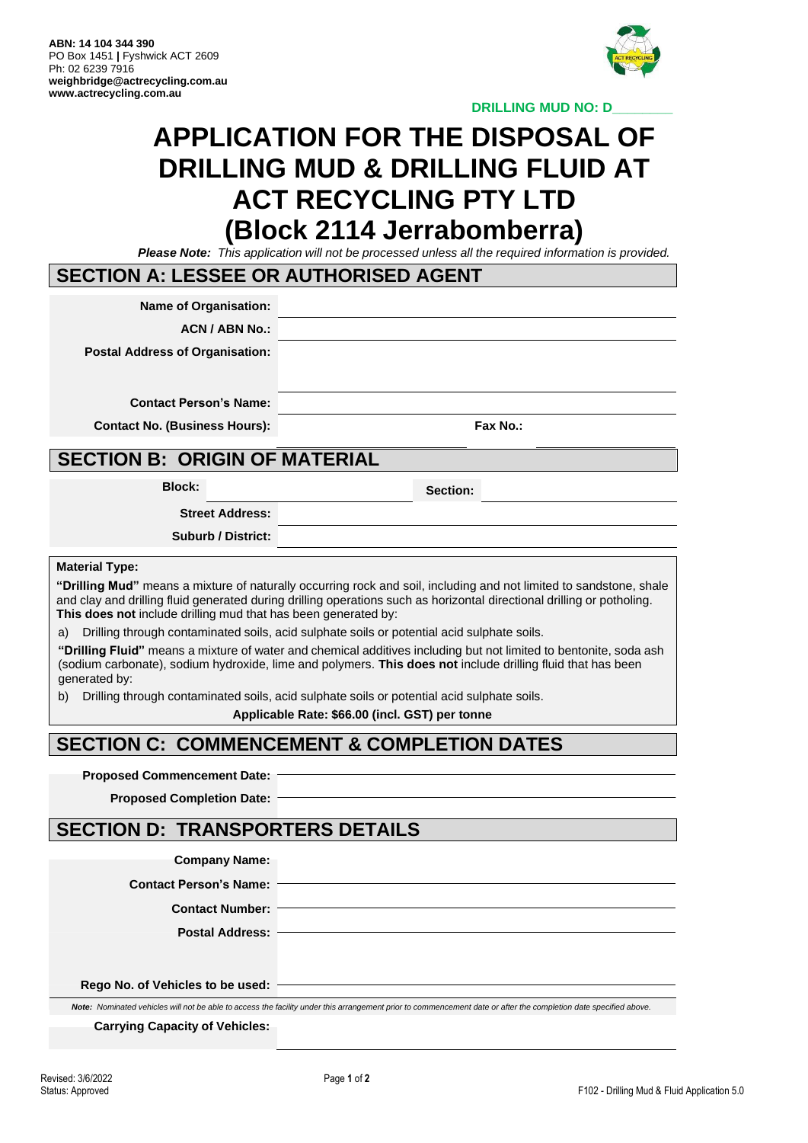

**DRILLING MUD NO: D\_\_\_\_\_\_\_\_**

# **APPLICATION FOR THE DISPOSAL OF DRILLING MUD & DRILLING FLUID AT ACT RECYCLING PTY LTD (Block 2114 Jerrabomberra)**

*Please Note: This application will not be processed unless all the required information is provided.*

#### **SECTION A: LESSEE OR AUTHORISED AGENT**

**Name of Organisation:**

**ACN / ABN No.:**

**Postal Address of Organisation:**

**Contact Person's Name:**

**Contact No. (Business Hours): Fax No.:**

#### **SECTION B: ORIGIN OF MATERIAL**

**Block: Section:**

**Street Address:**

**Suburb / District:**

#### **Material Type:**

**"Drilling Mud"** means a mixture of naturally occurring rock and soil, including and not limited to sandstone, shale and clay and drilling fluid generated during drilling operations such as horizontal directional drilling or potholing. **This does not** include drilling mud that has been generated by:

a) Drilling through contaminated soils, acid sulphate soils or potential acid sulphate soils.

**"Drilling Fluid"** means a mixture of water and chemical additives including but not limited to bentonite, soda ash (sodium carbonate), sodium hydroxide, lime and polymers. **This does not** include drilling fluid that has been generated by:

b) Drilling through contaminated soils, acid sulphate soils or potential acid sulphate soils.

**Applicable Rate: \$66.00 (incl. GST) per tonne**

### **SECTION C: COMMENCEMENT & COMPLETION DATES**

#### **Proposed Commencement Date:**

**Proposed Completion Date:**

### **SECTION D: TRANSPORTERS DETAILS**

| <b>Company Name:</b> |  |
|----------------------|--|
|----------------------|--|

**Contact Person's Name:**

**Contact Number:**

**Postal Address:**

**Rego No. of Vehicles to be used:**

Note: Nominated vehicles will not be able to access the facility under this arrangement prior to commencement date or after the completion date specified above.

**Carrying Capacity of Vehicles:**